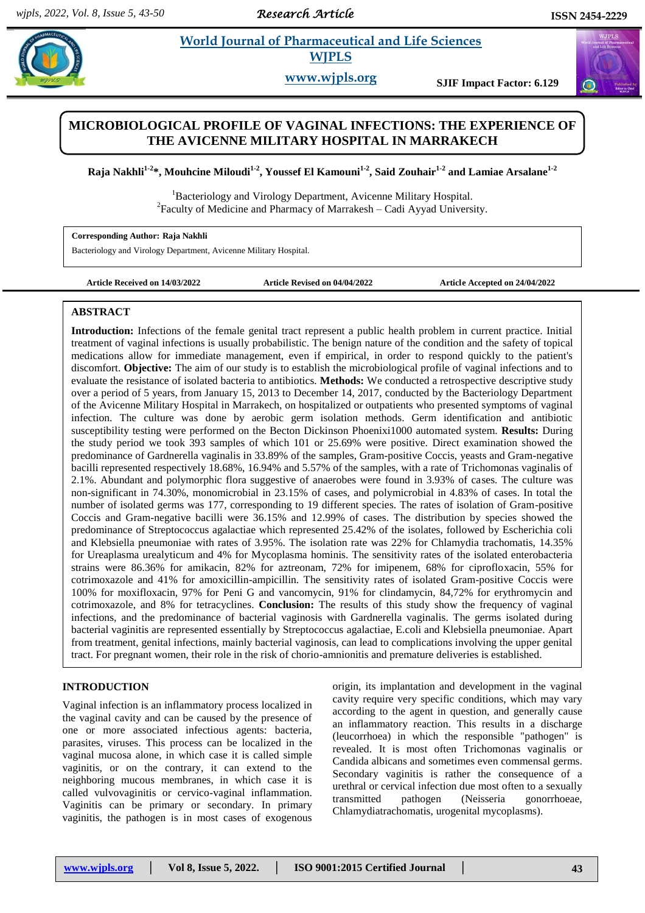*Research Article* 

#### **Rajara** *Et al. 2013**et al. <b>Pharmaceutical and Life Sciences*  **World Journal of Pharmaceutical and Life Sciences WJPLS**

**www.wjpls.org SJIF Impact Factor: 6.129**

# **MICROBIOLOGICAL PROFILE OF VAGINAL INFECTIONS: THE EXPERIENCE OF THE AVICENNE MILITARY HOSPITAL IN MARRAKECH**

**Raja Nakhli1-2 \*, Mouhcine Miloudi1-2 , Youssef El Kamouni1-2 , Said Zouhair1-2 and Lamiae Arsalane1-2**

<sup>1</sup>Bacteriology and Virology Department, Avicenne Military Hospital.  ${}^{2}$ Faculty of Medicine and Pharmacy of Marrakesh – Cadi Ayyad University.

**Corresponding Author: Raja Nakhli**

Bacteriology and Virology Department, Avicenne Military Hospital.

**Article Received on 14/03/2022 Article Revised on 04/04/2022 Article Accepted on 24/04/2022**

#### **ABSTRACT**

**Introduction:** Infections of the female genital tract represent a public health problem in current practice. Initial treatment of vaginal infections is usually probabilistic. The benign nature of the condition and the safety of topical medications allow for immediate management, even if empirical, in order to respond quickly to the patient's discomfort. **Objective:** The aim of our study is to establish the microbiological profile of vaginal infections and to evaluate the resistance of isolated bacteria to antibiotics. **Methods:** We conducted a retrospective descriptive study over a period of 5 years, from January 15, 2013 to December 14, 2017, conducted by the Bacteriology Department of the Avicenne Military Hospital in Marrakech, on hospitalized or outpatients who presented symptoms of vaginal infection. The culture was done by aerobic germ isolation methods. Germ identification and antibiotic susceptibility testing were performed on the Becton Dickinson Phoenixi1000 automated system. **Results:** During the study period we took 393 samples of which 101 or 25.69% were positive. Direct examination showed the predominance of Gardnerella vaginalis in 33.89% of the samples, Gram-positive Coccis, yeasts and Gram-negative bacilli represented respectively 18.68%, 16.94% and 5.57% of the samples, with a rate of Trichomonas vaginalis of 2.1%. Abundant and polymorphic flora suggestive of anaerobes were found in 3.93% of cases. The culture was non-significant in 74.30%, monomicrobial in 23.15% of cases, and polymicrobial in 4.83% of cases. In total the number of isolated germs was 177, corresponding to 19 different species. The rates of isolation of Gram-positive Coccis and Gram-negative bacilli were 36.15% and 12.99% of cases. The distribution by species showed the predominance of Streptococcus agalactiae which represented 25.42% of the isolates, followed by Escherichia coli and Klebsiella pneumoniae with rates of 3.95%. The isolation rate was 22% for Chlamydia trachomatis, 14.35% for Ureaplasma urealyticum and 4% for Mycoplasma hominis. The sensitivity rates of the isolated enterobacteria strains were 86.36% for amikacin, 82% for aztreonam, 72% for imipenem, 68% for ciprofloxacin, 55% for cotrimoxazole and 41% for amoxicillin-ampicillin. The sensitivity rates of isolated Gram-positive Coccis were 100% for moxifloxacin, 97% for Peni G and vancomycin, 91% for clindamycin, 84,72% for erythromycin and cotrimoxazole, and 8% for tetracyclines. **Conclusion:** The results of this study show the frequency of vaginal infections, and the predominance of bacterial vaginosis with Gardnerella vaginalis. The germs isolated during bacterial vaginitis are represented essentially by Streptococcus agalactiae, E.coli and Klebsiella pneumoniae. Apart from treatment, genital infections, mainly bacterial vaginosis, can lead to complications involving the upper genital tract. For pregnant women, their role in the risk of chorio-amnionitis and premature deliveries is established.

#### **INTRODUCTION**

Vaginal infection is an inflammatory process localized in the vaginal cavity and can be caused by the presence of one or more associated infectious agents: bacteria, parasites, viruses. This process can be localized in the vaginal mucosa alone, in which case it is called simple vaginitis, or on the contrary, it can extend to the neighboring mucous membranes, in which case it is called vulvovaginitis or cervico-vaginal inflammation. Vaginitis can be primary or secondary. In primary vaginitis, the pathogen is in most cases of exogenous origin, its implantation and development in the vaginal cavity require very specific conditions, which may vary according to the agent in question, and generally cause an inflammatory reaction. This results in a discharge (leucorrhoea) in which the responsible "pathogen" is revealed. It is most often Trichomonas vaginalis or Candida albicans and sometimes even commensal germs. Secondary vaginitis is rather the consequence of a urethral or cervical infection due most often to a sexually transmitted pathogen (Neisseria gonorrhoeae, Chlamydiatrachomatis, urogenital mycoplasms).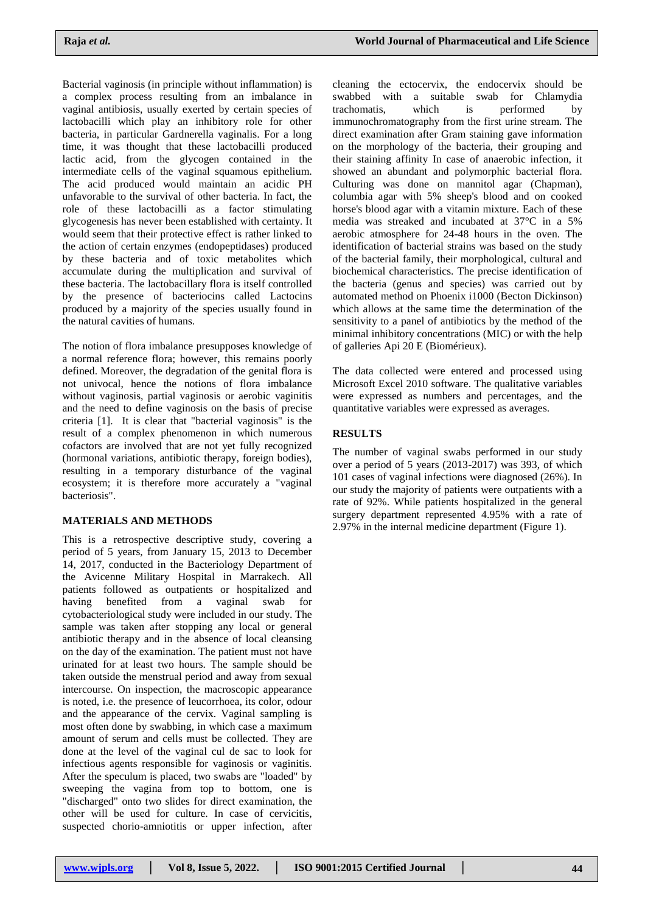Bacterial vaginosis (in principle without inflammation) is a complex process resulting from an imbalance in vaginal antibiosis, usually exerted by certain species of lactobacilli which play an inhibitory role for other bacteria, in particular Gardnerella vaginalis. For a long time, it was thought that these lactobacilli produced lactic acid, from the glycogen contained in the intermediate cells of the vaginal squamous epithelium. The acid produced would maintain an acidic PH unfavorable to the survival of other bacteria. In fact, the role of these lactobacilli as a factor stimulating glycogenesis has never been established with certainty. It would seem that their protective effect is rather linked to the action of certain enzymes (endopeptidases) produced by these bacteria and of toxic metabolites which accumulate during the multiplication and survival of these bacteria. The lactobacillary flora is itself controlled by the presence of bacteriocins called Lactocins produced by a majority of the species usually found in the natural cavities of humans.

The notion of flora imbalance presupposes knowledge of a normal reference flora; however, this remains poorly defined. Moreover, the degradation of the genital flora is not univocal, hence the notions of flora imbalance without vaginosis, partial vaginosis or aerobic vaginitis and the need to define vaginosis on the basis of precise criteria [1]. It is clear that "bacterial vaginosis" is the result of a complex phenomenon in which numerous cofactors are involved that are not yet fully recognized (hormonal variations, antibiotic therapy, foreign bodies), resulting in a temporary disturbance of the vaginal ecosystem; it is therefore more accurately a "vaginal bacteriosis".

### **MATERIALS AND METHODS**

This is a retrospective descriptive study, covering a period of 5 years, from January 15, 2013 to December 14, 2017, conducted in the Bacteriology Department of the Avicenne Military Hospital in Marrakech. All patients followed as outpatients or hospitalized and having benefited from a vaginal swab for cytobacteriological study were included in our study. The sample was taken after stopping any local or general antibiotic therapy and in the absence of local cleansing on the day of the examination. The patient must not have urinated for at least two hours. The sample should be taken outside the menstrual period and away from sexual intercourse. On inspection, the macroscopic appearance is noted, i.e. the presence of leucorrhoea, its color, odour and the appearance of the cervix. Vaginal sampling is most often done by swabbing, in which case a maximum amount of serum and cells must be collected. They are done at the level of the vaginal cul de sac to look for infectious agents responsible for vaginosis or vaginitis. After the speculum is placed, two swabs are "loaded" by sweeping the vagina from top to bottom, one is "discharged" onto two slides for direct examination, the other will be used for culture. In case of cervicitis, suspected chorio-amniotitis or upper infection, after

cleaning the ectocervix, the endocervix should be swabbed with a suitable swab for Chlamydia trachomatis, which is performed by immunochromatography from the first urine stream. The direct examination after Gram staining gave information on the morphology of the bacteria, their grouping and their staining affinity In case of anaerobic infection, it showed an abundant and polymorphic bacterial flora. Culturing was done on mannitol agar (Chapman), columbia agar with 5% sheep's blood and on cooked horse's blood agar with a vitamin mixture. Each of these media was streaked and incubated at 37°C in a 5% aerobic atmosphere for 24-48 hours in the oven. The identification of bacterial strains was based on the study of the bacterial family, their morphological, cultural and biochemical characteristics. The precise identification of the bacteria (genus and species) was carried out by automated method on Phoenix i1000 (Becton Dickinson) which allows at the same time the determination of the sensitivity to a panel of antibiotics by the method of the minimal inhibitory concentrations (MIC) or with the help of galleries Api 20 E (Biomérieux).

The data collected were entered and processed using Microsoft Excel 2010 software. The qualitative variables were expressed as numbers and percentages, and the quantitative variables were expressed as averages.

### **RESULTS**

The number of vaginal swabs performed in our study over a period of 5 years (2013-2017) was 393, of which 101 cases of vaginal infections were diagnosed (26%). In our study the majority of patients were outpatients with a rate of 92%. While patients hospitalized in the general surgery department represented 4.95% with a rate of 2.97% in the internal medicine department (Figure 1).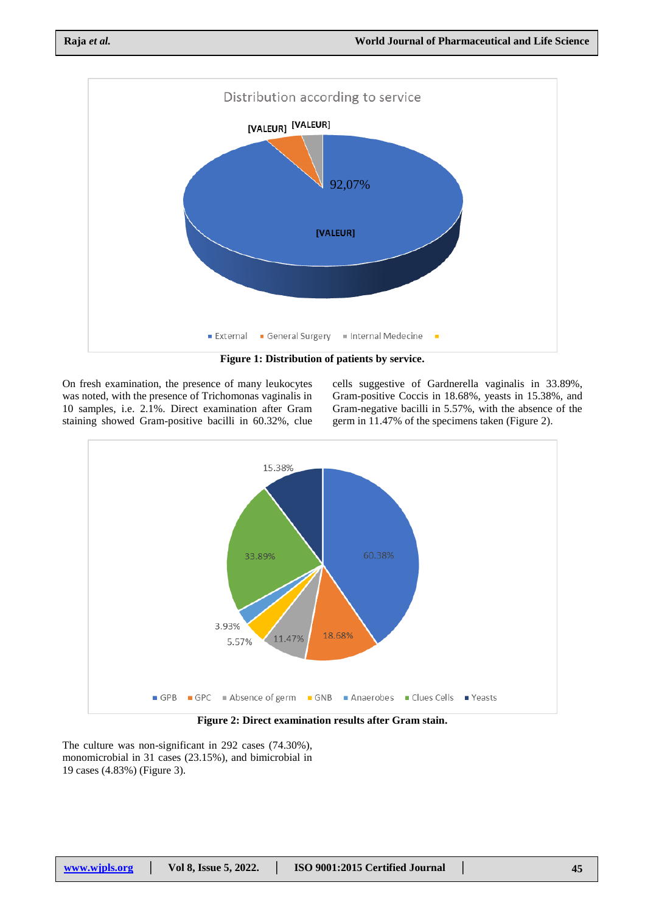

On fresh examination, the presence of many leukocytes was noted, with the presence of Trichomonas vaginalis in 10 samples, i.e. 2.1%. Direct examination after Gram staining showed Gram-positive bacilli in 60.32%, clue cells suggestive of Gardnerella vaginalis in 33.89%, Gram-positive Coccis in 18.68%, yeasts in 15.38%, and Gram-negative bacilli in 5.57%, with the absence of the germ in 11.47% of the specimens taken (Figure 2).



**Figure 2: Direct examination results after Gram stain.**

The culture was non-significant in 292 cases (74.30%), monomicrobial in 31 cases (23.15%), and bimicrobial in 19 cases (4.83%) (Figure 3).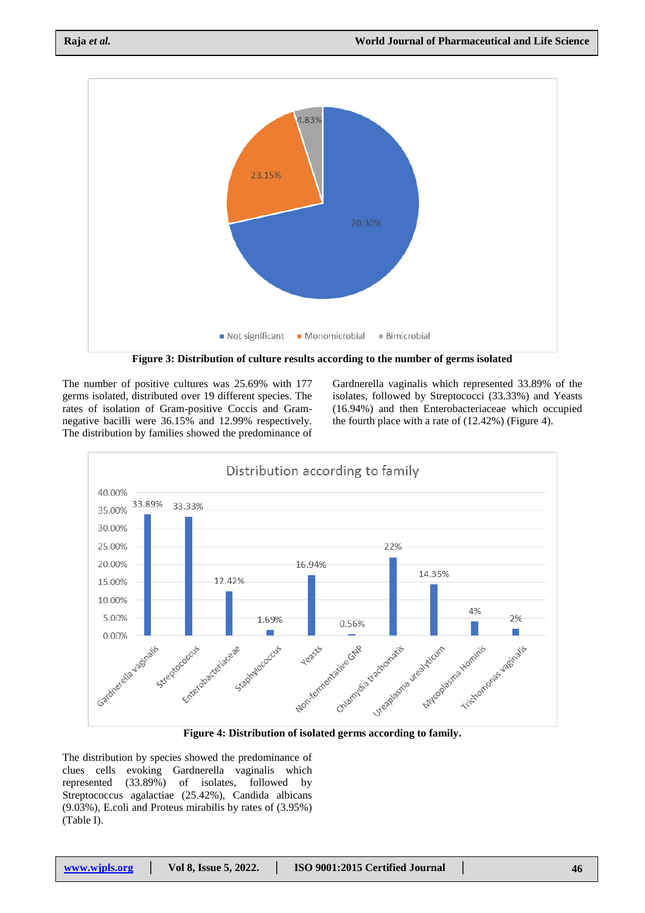

The number of positive cultures was 25.69% with 177 germs isolated, distributed over 19 different species. The rates of isolation of Gram-positive Coccis and Gramnegative bacilli were 36.15% and 12.99% respectively. The distribution by families showed the predominance of

Gardnerella vaginalis which represented 33.89% of the isolates, followed by Streptococci (33.33%) and Yeasts (16.94%) and then Enterobacteriaceae which occupied the fourth place with a rate of (12.42%) (Figure 4).





The distribution by species showed the predominance of clues cells evoking Gardnerella vaginalis which represented (33.89%) of isolates, followed by Streptococcus agalactiae (25.42%), Candida albicans (9.03%), E.coli and Proteus mirabilis by rates of (3.95%) (Table I).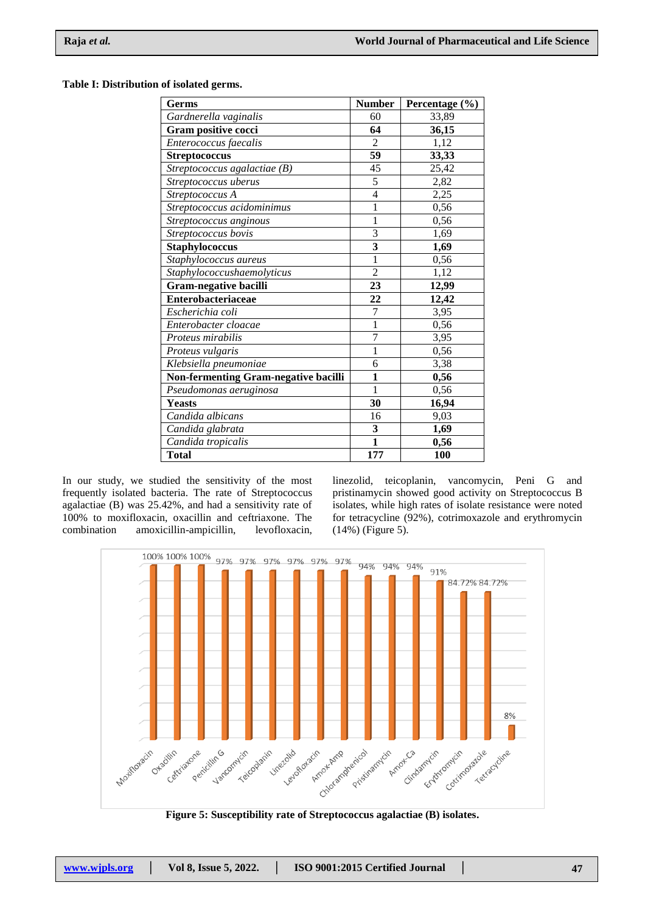#### **Table I: Distribution of isolated germs.**

| Germs                                | <b>Number</b>           | Percentage (%) |
|--------------------------------------|-------------------------|----------------|
| Gardnerella vaginalis                | 60                      | 33,89          |
| Gram positive cocci                  | 64                      | 36,15          |
| Enterococcus faecalis                | $\overline{2}$          | 1,12           |
| <b>Streptococcus</b>                 | 59                      | 33,33          |
| Streptococcus agalactiae (B)         | 45                      | 25,42          |
| Streptococcus uberus                 | $\overline{5}$          | 2,82           |
| Streptococcus A                      | $\overline{4}$          | 2,25           |
| Streptococcus acidominimus           | 1                       | 0,56           |
| Streptococcus anginous               | 1                       | 0,56           |
| Streptococcus bovis                  | $\overline{3}$          | 1,69           |
| <b>Staphylococcus</b>                | $\overline{\mathbf{3}}$ | 1,69           |
| Staphylococcus aureus                | 1                       | 0,56           |
| Staphylococcushaemolyticus           | $\overline{2}$          | 1,12           |
| <b>Gram-negative bacilli</b>         | 23                      | 12,99          |
| Enterobacteriaceae                   | 22                      | 12,42          |
| Escherichia coli                     | 7                       | 3,95           |
| Enterobacter cloacae                 | $\mathbf{1}$            | 0,56           |
| Proteus mirabilis                    | $\overline{7}$          | 3,95           |
| Proteus vulgaris                     | 1                       | 0,56           |
| Klebsiella pneumoniae                | 6                       | 3,38           |
| Non-fermenting Gram-negative bacilli | 1                       | 0,56           |
| Pseudomonas aeruginosa               | $\mathbf{1}$            | 0,56           |
| <b>Yeasts</b>                        | 30                      | 16,94          |
| Candida albicans                     | 16                      | 9,03           |
| Candida glabrata                     | $\mathbf{3}$            | 1,69           |
| Candida tropicalis                   | $\overline{\mathbf{1}}$ | 0,56           |
| <b>Total</b>                         | 177                     | 100            |

In our study, we studied the sensitivity of the most frequently isolated bacteria. The rate of Streptococcus agalactiae (B) was 25.42%, and had a sensitivity rate of 100% to moxifloxacin, oxacillin and ceftriaxone. The amoxicillin-ampicillin, levofloxacin,

linezolid, teicoplanin, vancomycin, Peni G and pristinamycin showed good activity on Streptococcus B isolates, while high rates of isolate resistance were noted for tetracycline (92%), cotrimoxazole and erythromycin (14%) (Figure 5).



**Figure 5: Susceptibility rate of Streptococcus agalactiae (B) isolates.**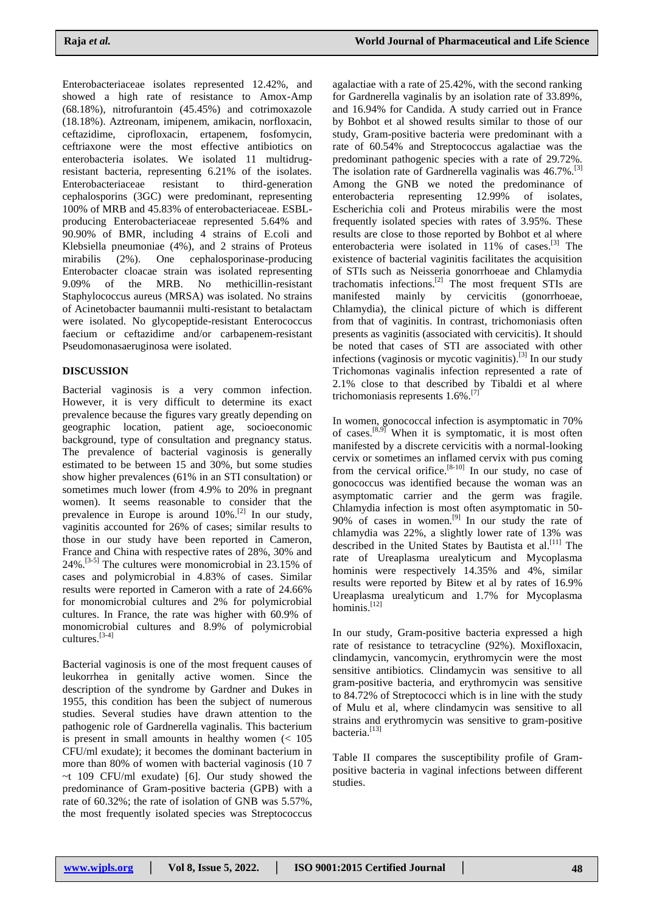Enterobacteriaceae isolates represented 12.42%, and showed a high rate of resistance to Amox-Amp (68.18%), nitrofurantoin (45.45%) and cotrimoxazole (18.18%). Aztreonam, imipenem, amikacin, norfloxacin, ceftazidime, ciprofloxacin, ertapenem, fosfomycin, ceftriaxone were the most effective antibiotics on enterobacteria isolates. We isolated 11 multidrugresistant bacteria, representing 6.21% of the isolates. Enterobacteriaceae resistant to third-generation cephalosporins (3GC) were predominant, representing 100% of MRB and 45.83% of enterobacteriaceae. ESBLproducing Enterobacteriaceae represented 5.64% and 90.90% of BMR, including 4 strains of E.coli and Klebsiella pneumoniae (4%), and 2 strains of Proteus mirabilis (2%). One cephalosporinase-producing Enterobacter cloacae strain was isolated representing 9.09% of the MRB. No methicillin-resistant Staphylococcus aureus (MRSA) was isolated. No strains of Acinetobacter baumannii multi-resistant to betalactam were isolated. No glycopeptide-resistant Enterococcus faecium or ceftazidime and/or carbapenem-resistant Pseudomonasaeruginosa were isolated.

## **DISCUSSION**

Bacterial vaginosis is a very common infection. However, it is very difficult to determine its exact prevalence because the figures vary greatly depending on geographic location, patient age, socioeconomic background, type of consultation and pregnancy status. The prevalence of bacterial vaginosis is generally estimated to be between 15 and 30%, but some studies show higher prevalences (61% in an STI consultation) or sometimes much lower (from 4.9% to 20% in pregnant women). It seems reasonable to consider that the prevalence in Europe is around  $10\%$ .<sup>[2]</sup> In our study, vaginitis accounted for 26% of cases; similar results to those in our study have been reported in Cameron, France and China with respective rates of 28%, 30% and 24%. [3-5] The cultures were monomicrobial in 23.15% of cases and polymicrobial in 4.83% of cases. Similar results were reported in Cameron with a rate of 24.66% for monomicrobial cultures and 2% for polymicrobial cultures. In France, the rate was higher with 60.9% of monomicrobial cultures and 8.9% of polymicrobial cultures.[3-4]

Bacterial vaginosis is one of the most frequent causes of leukorrhea in genitally active women. Since the description of the syndrome by Gardner and Dukes in 1955, this condition has been the subject of numerous studies. Several studies have drawn attention to the pathogenic role of Gardnerella vaginalis. This bacterium is present in small amounts in healthy women  $\approx 105$ CFU/ml exudate); it becomes the dominant bacterium in more than 80% of women with bacterial vaginosis (10 7 ~t 109 CFU/ml exudate) [6]. Our study showed the predominance of Gram-positive bacteria (GPB) with a rate of 60.32%; the rate of isolation of GNB was 5.57%, the most frequently isolated species was Streptococcus

agalactiae with a rate of 25.42%, with the second ranking for Gardnerella vaginalis by an isolation rate of 33.89%, and 16.94% for Candida. A study carried out in France by Bohbot et al showed results similar to those of our study, Gram-positive bacteria were predominant with a rate of 60.54% and Streptococcus agalactiae was the predominant pathogenic species with a rate of 29.72%. The isolation rate of Gardnerella vaginalis was 46.7%.<sup>[3]</sup> Among the GNB we noted the predominance of enterobacteria representing 12.99% of isolates, Escherichia coli and Proteus mirabilis were the most frequently isolated species with rates of 3.95%. These results are close to those reported by Bohbot et al where enterobacteria were isolated in 11% of cases.<sup>[3]</sup> The existence of bacterial vaginitis facilitates the acquisition of STIs such as Neisseria gonorrhoeae and Chlamydia trachomatis infections.<sup>[2]</sup> The most frequent STIs are manifested mainly by cervicitis (gonorrhoeae, Chlamydia), the clinical picture of which is different from that of vaginitis. In contrast, trichomoniasis often presents as vaginitis (associated with cervicitis). It should be noted that cases of STI are associated with other infections (vaginosis or mycotic vaginitis).<sup>[3]</sup> In our study Trichomonas vaginalis infection represented a rate of 2.1% close to that described by Tibaldi et al where trichomoniasis represents 1.6%.[7]

In women, gonococcal infection is asymptomatic in 70% of cases.<sup>[8,9]</sup> When it is symptomatic, it is most often manifested by a discrete cervicitis with a normal-looking cervix or sometimes an inflamed cervix with pus coming from the cervical orifice.<sup>[8-10]</sup> In our study, no case of gonococcus was identified because the woman was an asymptomatic carrier and the germ was fragile. Chlamydia infection is most often asymptomatic in 50- 90% of cases in women.<sup>[9]</sup> In our study the rate of chlamydia was 22%, a slightly lower rate of 13% was described in the United States by Bautista et al.<sup>[11]</sup> The rate of Ureaplasma urealyticum and Mycoplasma hominis were respectively 14.35% and 4%, similar results were reported by Bitew et al by rates of 16.9% Ureaplasma urealyticum and 1.7% for Mycoplasma hominis. [12]

In our study, Gram-positive bacteria expressed a high rate of resistance to tetracycline (92%). Moxifloxacin, clindamycin, vancomycin, erythromycin were the most sensitive antibiotics. Clindamycin was sensitive to all gram-positive bacteria, and erythromycin was sensitive to 84.72% of Streptococci which is in line with the study of Mulu et al, where clindamycin was sensitive to all strains and erythromycin was sensitive to gram-positive bacteria.<sup>[13]</sup>

Table II compares the susceptibility profile of Grampositive bacteria in vaginal infections between different studies.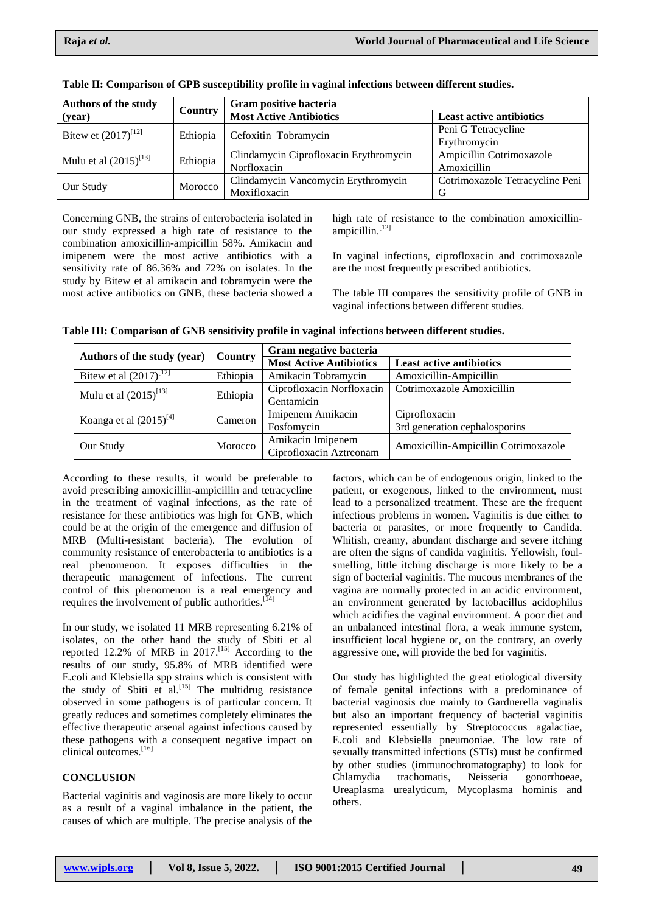| <b>Authors of the study</b> |          | Gram positive bacteria                 |                                 |  |
|-----------------------------|----------|----------------------------------------|---------------------------------|--|
| (year)                      | Country  | <b>Most Active Antibiotics</b>         | <b>Least active antibiotics</b> |  |
| Bitew et $(2017)^{[12]}$    | Ethiopia | Cefoxitin Tobramycin                   | Peni G Tetracycline             |  |
|                             |          |                                        | Erythromycin                    |  |
| Mulu et al $(2015)^{[13]}$  | Ethiopia | Clindamycin Ciprofloxacin Erythromycin | Ampicillin Cotrimoxazole        |  |
|                             |          | Norfloxacin                            | Amoxicillin                     |  |
| Our Study                   | Morocco  | Clindamycin Vancomycin Erythromycin    | Cotrimoxazole Tetracycline Peni |  |
|                             |          | Moxifloxacin                           | G                               |  |

| Table II: Comparison of GPB susceptibility profile in vaginal infections between different studies. |  |  |  |
|-----------------------------------------------------------------------------------------------------|--|--|--|
|-----------------------------------------------------------------------------------------------------|--|--|--|

Concerning GNB, the strains of enterobacteria isolated in our study expressed a high rate of resistance to the combination amoxicillin-ampicillin 58%. Amikacin and imipenem were the most active antibiotics with a sensitivity rate of 86.36% and 72% on isolates. In the study by Bitew et al amikacin and tobramycin were the most active antibiotics on GNB, these bacteria showed a high rate of resistance to the combination amoxicillinampicillin.<sup>[12]</sup>

In vaginal infections, ciprofloxacin and cotrimoxazole are the most frequently prescribed antibiotics.

The table III compares the sensitivity profile of GNB in vaginal infections between different studies.

|  |  |  | Table III: Comparison of GNB sensitivity profile in vaginal infections between different studies. |
|--|--|--|---------------------------------------------------------------------------------------------------|
|--|--|--|---------------------------------------------------------------------------------------------------|

| Authors of the study (year) |          | Gram negative bacteria         |                                      |
|-----------------------------|----------|--------------------------------|--------------------------------------|
|                             | Country  | <b>Most Active Antibiotics</b> | <b>Least active antibiotics</b>      |
| Bitew et al $(2017)^{[12]}$ | Ethiopia | Amikacin Tobramycin            | Amoxicillin-Ampicillin               |
| Mulu et al $(2015)^{[13]}$  | Ethiopia | Ciprofloxacin Norfloxacin      | Cotrimoxazole Amoxicillin            |
|                             |          | Gentamicin                     |                                      |
| Koanga et al $(2015)^{[4]}$ | Cameron  | Imipenem Amikacin              | Ciprofloxacin                        |
|                             |          | Fosfomycin                     | 3rd generation cephalosporins        |
| Our Study                   | Morocco  | Amikacin Imipenem              | Amoxicillin-Ampicillin Cotrimoxazole |
|                             |          | Ciprofloxacin Aztreonam        |                                      |

According to these results, it would be preferable to avoid prescribing amoxicillin-ampicillin and tetracycline in the treatment of vaginal infections, as the rate of resistance for these antibiotics was high for GNB, which could be at the origin of the emergence and diffusion of MRB (Multi-resistant bacteria). The evolution of community resistance of enterobacteria to antibiotics is a real phenomenon. It exposes difficulties in the therapeutic management of infections. The current control of this phenomenon is a real emergency and requires the involvement of public authorities.<sup>[14]</sup>

In our study, we isolated 11 MRB representing 6.21% of isolates, on the other hand the study of Sbiti et al reported 12.2% of MRB in  $2017$ .<sup>[15]</sup> According to the results of our study, 95.8% of MRB identified were E.coli and Klebsiella spp strains which is consistent with the study of Sbiti et al.<sup>[15]</sup> The multidrug resistance observed in some pathogens is of particular concern. It greatly reduces and sometimes completely eliminates the effective therapeutic arsenal against infections caused by these pathogens with a consequent negative impact on clinical outcomes. [16]

### **CONCLUSION**

Bacterial vaginitis and vaginosis are more likely to occur as a result of a vaginal imbalance in the patient, the causes of which are multiple. The precise analysis of the

factors, which can be of endogenous origin, linked to the patient, or exogenous, linked to the environment, must lead to a personalized treatment. These are the frequent infectious problems in women. Vaginitis is due either to bacteria or parasites, or more frequently to Candida. Whitish, creamy, abundant discharge and severe itching are often the signs of candida vaginitis. Yellowish, foulsmelling, little itching discharge is more likely to be a sign of bacterial vaginitis. The mucous membranes of the vagina are normally protected in an acidic environment, an environment generated by lactobacillus acidophilus which acidifies the vaginal environment. A poor diet and an unbalanced intestinal flora, a weak immune system, insufficient local hygiene or, on the contrary, an overly aggressive one, will provide the bed for vaginitis.

Our study has highlighted the great etiological diversity of female genital infections with a predominance of bacterial vaginosis due mainly to Gardnerella vaginalis but also an important frequency of bacterial vaginitis represented essentially by Streptococcus agalactiae, E.coli and Klebsiella pneumoniae. The low rate of sexually transmitted infections (STIs) must be confirmed by other studies (immunochromatography) to look for Chlamydia trachomatis, Neisseria gonorrhoeae, Ureaplasma urealyticum, Mycoplasma hominis and others.